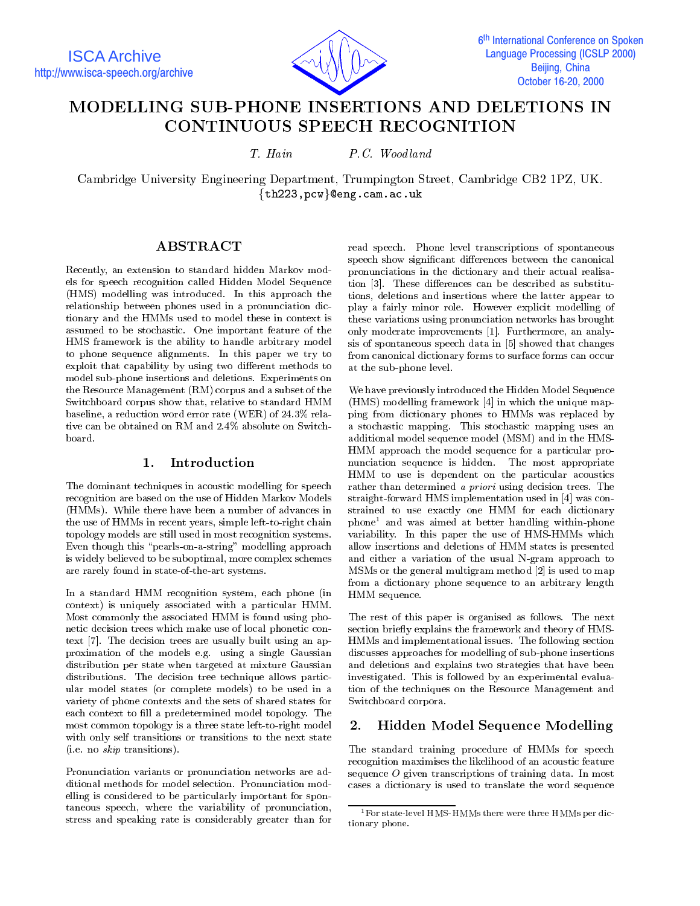ISCA Archive http://www.isca-speech.org/archive



6<sup>th</sup> International Conference on Spoken İ **Language Processing (ICSLP 2000)** Beijing, China October 16-20, 2000

# MODELLING SUB-PHONE INSERTIONS AND DELETIONS IN **CONTINUOUS SPEECH RECOGNITION**

T. Hain P.C. Woodland

Cambridge University Engineering Department, Trumpington Street, Cambridge CB2 1PZ, UK.  $\{th223,pcw\}$ @eng.cam.ac.uk

## ABSTRACT

Recently, an extension to standard hidden Markov models for speech recognition called Hidden Model Sequence (HMS) modelling was introduced. In this approach the relationship between phones used in a pronunciation dictionary and the HMMs used to model these in context is assumed to be stochastic. One important feature of the HMS framework is the ability to handle arbitrary model to phone sequence alignments. In this paper we try to exploit that capability by using two different methods to model sub-phone insertions and deletions. Experiments on the Resource Management (RM) corpus and a subset of the Switchboard corpus show that, relative to standard HMM baseline, a reduction word error rate (WER) of 24.3% relative can be obtained on RM and 2.4% absolute on Switch-

### 1. Introduction

The dominant techniques in acoustic modelling for speech recognition are based on the use of Hidden Markov Models (HMMs). While there have been a number of advances in the use of HMMs in recent years, simple left-to-right chain topology models are still used in most recognition systems. Even though this "pearls-on-a-string" modelling approach is widely believed to be suboptimal, more complex schemes are rarely found in state-of-the-art systems.

In a standard HMM recognition system, each phone (in context) is uniquely associated with a particular HMM. Most commonly the associated HMM is found using phonetic decision trees which make use of local phonetic context [7]. The decision trees are usually built using an approximation of the models e.g. using a single Gaussian distribution per state when targeted at mixture Gaussian distributions. The decision tree technique allows particular model states (or complete models) to be used in a variety of phone contexts and the sets of shared states for each context to fill a predetermined model topology. The most common topology is a three state left-to-right model 2. with only self transitions or transitions to the next state (i.e. no skip transitions).

Pronunciation variants or pronunciation networks are additional methods for model selection. Pronunciation modelling is considered to be particularly important for spontaneous speech, where the variability of pronunciation, stress and speaking rate is considerably greater than for

read speech. Phone level transcriptions of spontaneous speech show significant differences between the canonical pronunciations in the dictionary and their actual realisation  $[3]$ . These differences can be described as substitutions, deletions and insertions where the latter appear to play a fairly minor role. However explicit modelling of these variations using pronunciation networks has brought only moderate improvements [1]. Furthermore, an analysis of spontaneous speech data in [5] showed that changes from canonical dictionary forms to surface forms can occur at the sub-phone level.

We have previously introduced the Hidden Model Sequence (HMS) modelling framework [4] in which the unique mapping from dictionary phones to HMMs was replaced by a stochastic mapping. This stochastic mapping uses an additional model sequence model (MSM) and in the HMS-HMM approach the model sequence for a particular pro nunciation sequence is hidden. The most appropriate HMM to use is dependent on the particular acoustics rather than determined a priori using decision trees. The straight-forward HMS implementation used in [4] was con strained to use exactly one HMM for each dictionary phone1 and was aimed at better handling within-phone variability. In this paper the use of HMS-HMMs which allow insertions and deletions of HMM states is presented and either a variation of the usual N-gram approach to MSMs or the general multigram method [2] is used to map from a dictionary phone sequence to an arbitrary length HMM sequence.

The rest of this paper is organised as follows. The next section briefly explains the framework and theory of HMS-HMMs and implementational issues. The following section discusses approaches for modelling of sub-phone insertions and deletions and explains two strategies that have been investigated. This is followed by an experimental evaluation of the techniques on the Resource Management and Switchboard corpora.

### 2. Hidden Model Sequence Modelling

The standard training procedure of HMMs for speech recognition maximises the likelihood of an acoustic feature sequence <sup>O</sup> given transcriptions of training data. In most cases a dictionary is used to translate the word sequence

<sup>&</sup>lt;sup>1</sup> For state-level HMS-HMMs there were three HMMs per dictionary phone.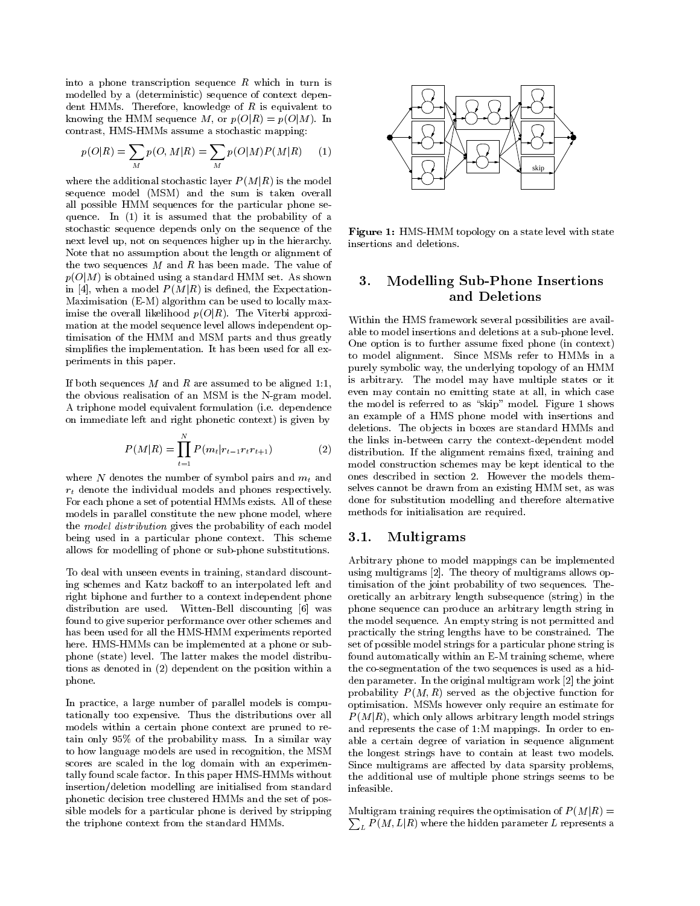into a phone transcription sequence  $R$  which in turn is modelled by a (deterministic) sequence of context dependent HMMs. Therefore, knowledge of  $R$  is equivalent to knowing the HMM sequence  $M$ , or  $p(O|R) = p(O|M)$ . In contrast, HMS-HMMs assume a stochastic mapping:

$$
p(O|R) = \sum_{M} p(O, M|R) = \sum_{M} p(O|M)P(M|R)
$$
 (1)

where the additional stochastic layer  $P(M|R)$  is the model sequence model (MSM) and the sum is taken overall all possible HMM sequences for the particular phone se quence. In (1) it is assumed that the probability of a stochastic sequence depends only on the sequence of the next level up, not on sequences higher up in the hierarchy. Note that no assumption about the length or alignment of the two sequences  $M$  and  $R$  has been made. The value of  $p(O|M)$  is obtained using a standard HMM set. As shown  $\mathbf{3.}$ in [4], when a model  $P(M|R)$  is defined, the Expectation-Maximisation (E-M) algorithm can be used to locally maximise the overall likelihood  $p(O|R)$ . The Viterbi approximation at the model sequence level allows independent optimisation of the HMM and MSM parts and thus greatly simplifies the implementation. It has been used for all experiments in this paper.

If both sequences  $M$  and  $R$  are assumed to be aligned 1:1, the obvious realisation of an MSM is the N-gram model. A triphone model equivalent formulation (i.e. dependence on immediate left and right phonetic context) is given by

$$
P(M|R) = \prod_{t=1}^{N} P(m_t|r_{t-1}r_t r_{t+1})
$$
 the  
dist of this

where N denotes the number of symbol pairs and  $m_t$  and  $r_t$  denote the individual models and phones respectively. For each phone a set of potential HMMs exists. All of these models in parallel constitute the new phone model, where the model distribution gives the probability of each model being used in a particular phone context. This scheme allows for modelling of phone or sub-phone substitutions.

To deal with unseen events in training, standard discounting schemes and Katz backoff to an interpolated left and right biphone and further to a context independent phone distribution are used. Witten-Bell discounting [6] was found to give superior performance over other schemes and has been used for all the HMS-HMM experiments reported here. HMS-HMMs can be implemented at a phone or subphone (state) level. The latter makes the model distributions as denoted in (2) dependent on the position within a phone.

In practice, a large number of parallel models is computationally too expensive. Thus the distributions over all models within a certain phone context are pruned to retain only 95% of the probability mass. In a similar way to how language models are used in recognition, the MSM scores are scaled in the log domain with an experimentally found scale factor. In this paper HMS-HMMs without insertion/deletion modelling are initialised from standard phonetic decision tree clustered HMMs and the set of possible models for a particular phone is derived by stripping the triphone context from the standard HMMs.



Figure 1: HMS-HMM topology on a state level with state insertions and deletions.

## Modelling Sub-Phone Insertions and Deletions

Within the HMS framework several possibilities are available to model insertions and deletions at a sub-phone level. One option is to further assume fixed phone (in context) to model alignment. Since MSMs refer to HMMs in a purely symbolic way, the underlying topology of an HMM is arbitrary. The model may have multiple states or it even may contain no emitting state at all, in which case the model is referred to as "skip" model. Figure 1 shows an example of a HMS phone model with insertions and deletions. The objects in boxes are standard HMMs and the links in-between carry the context-dependent model distribution. If the alignment remains fixed, training and model construction schemes may be kept identical to the ones described in section 2. However the models themselves cannot be drawn from an existing HMM set, as was done for substitution modelling and therefore alternative methods for initialisation are required.

### 3.1. Multigrams

Arbitrary phone to model mappings can be implemented using multigrams [2]. The theory of multigrams allows optimisation of the joint probability of two sequences. Theoretically an arbitrary length subsequence (string) in the phone sequence can produce an arbitrary length string in the model sequence. An empty string is not permitted and practically the string lengths have to be constrained. The set of possible model strings for a particular phone string is found automatically within an E-M training scheme, where the co-segmentation of the two sequences is used as a hidden parameter. In the original multigram work [2] the joint probability  $P(M, R)$  served as the objective function for optimisation. MSMs however only require an estimate for  $P(M|R)$ , which only allows arbitrary length model strings and represents the case of 1:M mappings. In order to enable a certain degree of variation in sequence alignment the longest strings have to contain at least two models. Since multigrams are affected by data sparsity problems, the additional use of multiple phone strings seems to be infeasible.

 $\mathcal{M}$  and  $\mathcal{M}$  (MjR)  $\mathcal{M}$  and optimization of  $\mathcal{M}$  , and  $\mathcal{M}$  (MjR)  $\mathcal{M}$  $\sum_L P(M,L|R)$  where the hidden parameter  $L$  represents a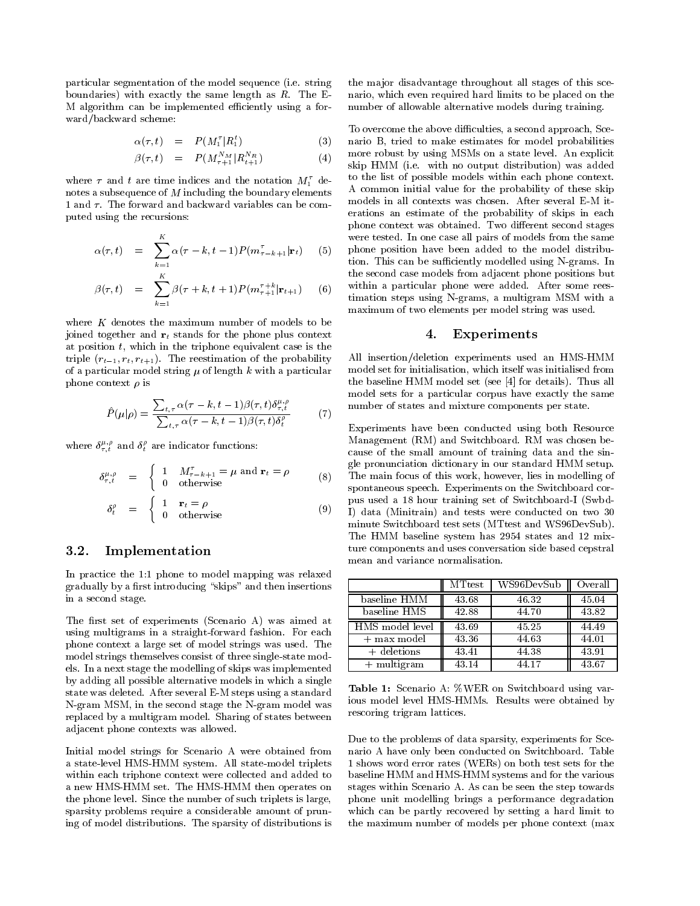particular segmentation of the model sequence (i.e. string boundaries) with exactly the same length as  $R$ . The E-M algorithm can be implemented efficiently using a forward/backward scheme:

$$
\alpha(\tau, t) = P(M_1^{\tau} | R_1^t) \tag{3} \quad \text{nar}
$$

$$
\beta(\tau, t) = P(M_{\tau+1}^{N_M} | R_{t+1}^{N_R}) \tag{4}
$$

where  $\tau$  and t are time indices and the notation  $M_1^{\tau}$  denotes a subsequence of <sup>M</sup> including the boundary elements 1 and  $\tau$ . The forward and backward variables can be computed using the recursions:

$$
\alpha(\tau, t) = \sum_{k=1}^{K} \alpha(\tau - k, t - 1) P(m_{\tau - k + 1}^{\tau} | \mathbf{r}_t)
$$
 (5) we  

$$
\beta(\tau,t) = \sum_{k=1}^{K} \beta(\tau+k, t+1) P(m_{\tau+1}^{\tau+k}|\mathbf{r}_{t+1})
$$
 (6) with  
time

where  $K$  denotes the maximum number of models to be joined together and  $r_t$  stands for the phone plus context at position  $t$ , which in the triphone equivalent case is the triple  $(r_{t-1}, r_t, r_{t+1})$ . The reestimation of the probability of a particular model string  $\mu$  of length k with a particular phone context  $\rho$  is

$$
\hat{P}(\mu|\rho) = \frac{\sum_{t,\tau} \alpha(\tau - k, t - 1)\beta(\tau, t)\delta_{\tau, t}^{\mu, \rho}}{\sum_{t,\tau} \alpha(\tau - k, t - 1)\beta(\tau, t)\delta_t^{\rho}} \tag{7}
$$
nu

where  $\delta^{\scriptscriptstyle{CU}}_{\tau,t}$  and  $\delta^{\scriptscriptstyle{L}}_t$  are indicator functions:

$$
\delta_{\tau,t}^{\mu,\rho} = \begin{cases} 1 & M_{\tau-k+1}^{\tau} = \mu \text{ and } \mathbf{r}_t = \rho \\ 0 & \text{otherwise} \end{cases}
$$
 (8)  $\text{the } \mathbf{r}_t$ 

$$
\delta_t^\rho = \begin{cases} 1 & \mathbf{r}_t = \rho \\ 0 & \text{otherwise} \end{cases}
$$
 (9)  $\begin{array}{c} \text{pus} \\ \text{I} \end{array}$ 

#### **Implementation**  $3.2.$

In practice the 1:1 phone to model mapping was relaxed gradually by a first introducing "skips" and then insertions in a second stage.

The first set of experiments (Scenario A) was aimed at using multigrams in a straight-forward fashion. For each phone context a large set of model strings was used. The model strings themselves consist of three single-state models. In a next stage the modelling of skips was implemented by adding all possible alternative models in which a single state was deleted. After several E-M steps using a standard N-gram MSM, in the second stage the N-gram model was replaced byamultigram model. Sharing of states between adjacent phone contexts was allowed.

Initial model strings for Scenario A were obtained from a state-level HMS-HMM system. All state-model triplets within each triphone context were collected and added to a new HMS-HMM set. The HMS-HMM then operates on the phone level. Since the number of such triplets is large, sparsity problems require a considerable amount of pruning of model distributions. The sparsity of distributions is

the ma jor disadvantage throughout all stages of this scenario, which even required hard limits to be placed on the number of allowable alternative models during training.

 $\sum_{i=1}^{t+1}$  (1)  $\sum_{i=1}^{t}$  skip HMM (i.e. with no output distribution) was added To overcome the above difficulties, a second approach, Scenario B, tried to make estimates for model probabilities more robust by using MSMs on a state level. An explicit to the list of possible models within each phone context. A common initial value for the probability of these skip models in all contexts was chosen. After several E-M iterations an estimate of the probability of skips in each phone context was obtained. Two different second stages were tested. In one case all pairs of models from the same phone position have been added to the model distribution. This can be sufficiently modelled using N-grams. In the second case models from adjacent phone positions but within a particular phone were added. After some rees timation steps using N-grams, a multigram MSM with a maximum of two elements per model string was used.

### 4. Experiments

All insertion/deletion experiments used an HMS-HMM model set for initialisation, which itself was initialised from the baseline HMM model set (see [4] for details). Thus all model sets for a particular corpus have exactly the same number of states and mixture components per state.

Experiments have been conducted using both Resource Management (RM) and Switchboard. RM was chosen be cause of the small amount of training data and the single pronunciation dictionary in our standard HMM setup. The main focus of this work, however, lies in modelling of spontaneous speech. Experiments on the Switchboard corpus used a 18 hour training set of Switchboard-I (Swbd-I) data (Minitrain) and tests were conducted on two 30 minute Switchboard test sets (MTtest and WS96DevSub). The HMM baseline system has 2954 states and 12 mixture components and uses conversation side based cepstral mean and variance normalisation.

|                 | <b>MTtest</b> | WS96DevSub | Overall |
|-----------------|---------------|------------|---------|
| baseline HMM    | 43.68         | 46.32      | 45.04   |
| baseline HMS    | 42.88         | 44.70      | 43.82   |
| HMS model level | 43.69         | 45.25      | 44.49   |
| + max model     | 43.36         | 44.63      | 44.01   |
| $+$ deletions   | 43.41         | 44.38      | 43.91   |
| $+$ multigram   | 43.14         | 44.17      | 43.67   |

Table 1: Scenario A: %WER on Switchboard using various model level HMS-HMMs. Results were obtained by rescoring trigram lattices.

Due to the problems of data sparsity, experiments for Scenario A have only been conducted on Switchboard. Table 1 shows word error rates (WERs) on both test sets for the baseline HMM and HMS-HMM systems and for the various stages within Scenario A. As can be seen the step towards phone unit modelling brings a performance degradation which can be partly recovered by setting a hard limit to the maximum number of models per phone context (max